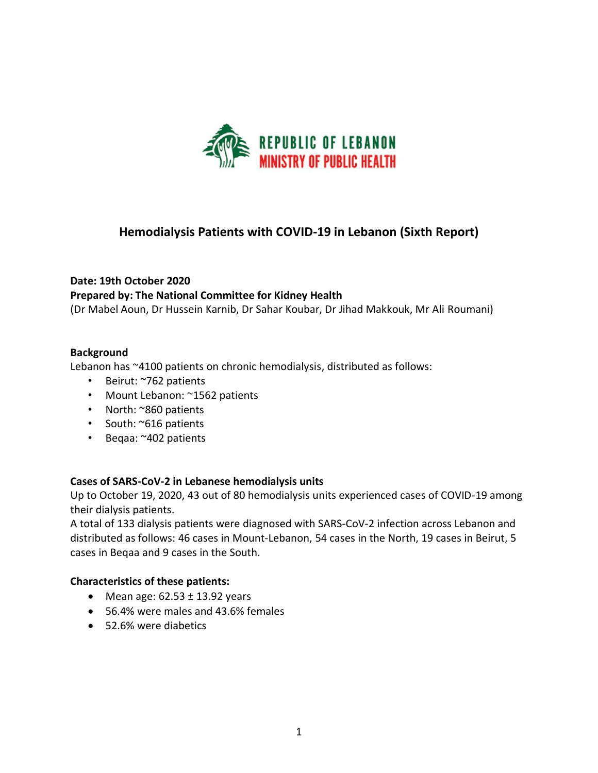

## **Hemodialysis Patients with COVID-19 in Lebanon (Sixth Report)**

# **Date: 19th October 2020 Prepared by: The National Committee for Kidney Health**

(Dr Mabel Aoun, Dr Hussein Karnib, Dr Sahar Koubar, Dr Jihad Makkouk, Mr Ali Roumani)

#### **Background**

Lebanon has ~4100 patients on chronic hemodialysis, distributed as follows:

- Beirut: ~762 patients
- Mount Lebanon: ~1562 patients
- North: ~860 patients
- South: ~616 patients
- Beqaa: ~402 patients

#### **Cases of SARS-CoV-2 in Lebanese hemodialysis units**

Up to October 19, 2020, 43 out of 80 hemodialysis units experienced cases of COVID-19 among their dialysis patients.

A total of 133 dialysis patients were diagnosed with SARS-CoV-2 infection across Lebanon and distributed as follows: 46 cases in Mount-Lebanon, 54 cases in the North, 19 cases in Beirut, 5 cases in Beqaa and 9 cases in the South.

#### **Characteristics of these patients:**

- Mean age:  $62.53 \pm 13.92$  years
- 56.4% were males and 43.6% females
- 52.6% were diabetics